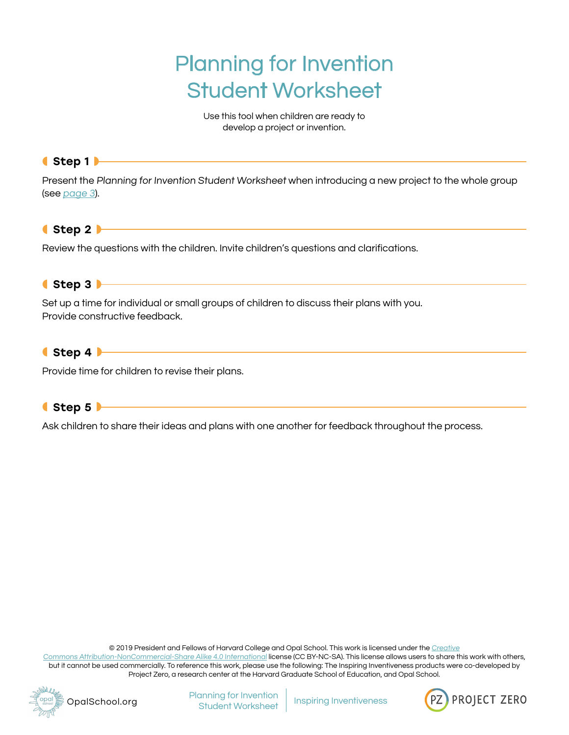# Planning for Invention Student Worksheet

Use this tool when children are ready to develop a project or invention.

#### ◖Step 1◗

Present the Planning for Invention Student Worksheet when introducing a new project to the whole group (see [page 3](#page-2-0)).

## ◖Step 2◗

Review the questions with the children. Invite children's questions and clarifications.

#### ◖Step 3◗

Set up a time for individual or small groups of children to discuss their plans with you. Provide constructive feedback.

#### $\bullet$  Step 4  $\blacktriangleright$

Provide time for children to revise their plans.

#### ● Step 5

Ask children to share their ideas and plans with one another for feedback throughout the process.

© 2019 President and Fellows of Harvard College and Opal School. This work is licensed under the [Creative](https://creativecommons.org/licenses/by-nc-sa/4.0/)

[Commons Attribution-NonCommercial-Share Alike 4.0 International](https://creativecommons.org/licenses/by-nc-sa/4.0/) license (CC BY-NC-SA). This license allows users to share this work with others, but it cannot be used commercially. To reference this work, please use the following: The Inspiring Inventiveness products were co-developed by Project Zero, a research center at the Harvard Graduate School of Education, and Opal School.





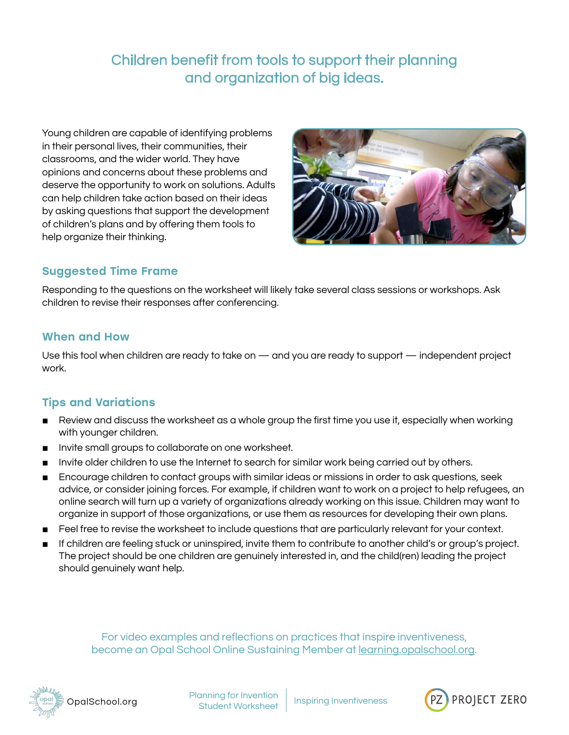# Children benefit from tools to support their planning and organization of big ideas.

Young children are capable of identifying problems in their personal lives, their communities, their classrooms, and the wider world. They have opinions and concerns about these problems and deserve the opportunity to work on solutions. Adults can help children take action based on their ideas by asking questions that support the development of children's plans and by offering them tools to help organize their thinking.



# Suggested Time Frame

Responding to the questions on the worksheet will likely take several class sessions or workshops. Ask children to revise their responses after conferencing.

#### When and How

Use this tool when children are ready to take on — and you are ready to support — independent project work.

## Tips and Variations

- Review and discuss the worksheet as a whole group the first time you use it, especially when working with younger children.
- Invite small groups to collaborate on one worksheet.
- Invite older children to use the Internet to search for similar work being carried out by others.
- Encourage children to contact groups with similar ideas or missions in order to ask questions, seek advice, or consider joining forces. For example, if children want to work on a project to help refugees, an online search will turn up a variety of organizations already working on this issue. Children may want to organize in support of those organizations, or use them as resources for developing their own plans.
- Feel free to revise the worksheet to include questions that are particularly relevant for your context.
- If children are feeling stuck or uninspired, invite them to contribute to another child's or group's project. The project should be one children are genuinely interested in, and the child(ren) leading the project should genuinely want help.

For video examples and reflections on practices that inspire inventiveness, become an Opal School Online Sustaining Member at [learning.opalschool.org.](http://learning.opalschool.org)



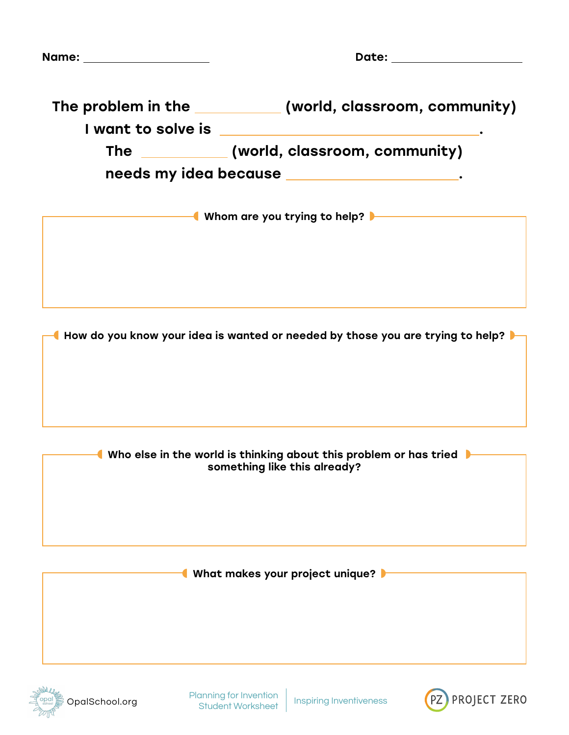<span id="page-2-0"></span>

| Name: _____________________ | Date: the contract of the contract of the contract of the contract of the contract of the contract of the contract of the contract of the contract of the contract of the contract of the contract of the contract of the cont |
|-----------------------------|--------------------------------------------------------------------------------------------------------------------------------------------------------------------------------------------------------------------------------|
|                             | The problem in the ____________ (world, classroom, community)                                                                                                                                                                  |
|                             | The __________(world, classroom, community)                                                                                                                                                                                    |
|                             | needs my idea because _____________________.                                                                                                                                                                                   |
|                             | ───────── <mark>●</mark> Whom are you trying to help? ▶───────                                                                                                                                                                 |
|                             |                                                                                                                                                                                                                                |
|                             |                                                                                                                                                                                                                                |
|                             |                                                                                                                                                                                                                                |
|                             | How do you know your idea is wanted or needed by those you are trying to help?                                                                                                                                                 |
|                             |                                                                                                                                                                                                                                |
|                             | Who else in the world is thinking about this problem or has tried<br>something like this already?                                                                                                                              |
|                             |                                                                                                                                                                                                                                |
|                             | What makes your project unique?                                                                                                                                                                                                |
|                             |                                                                                                                                                                                                                                |
|                             |                                                                                                                                                                                                                                |